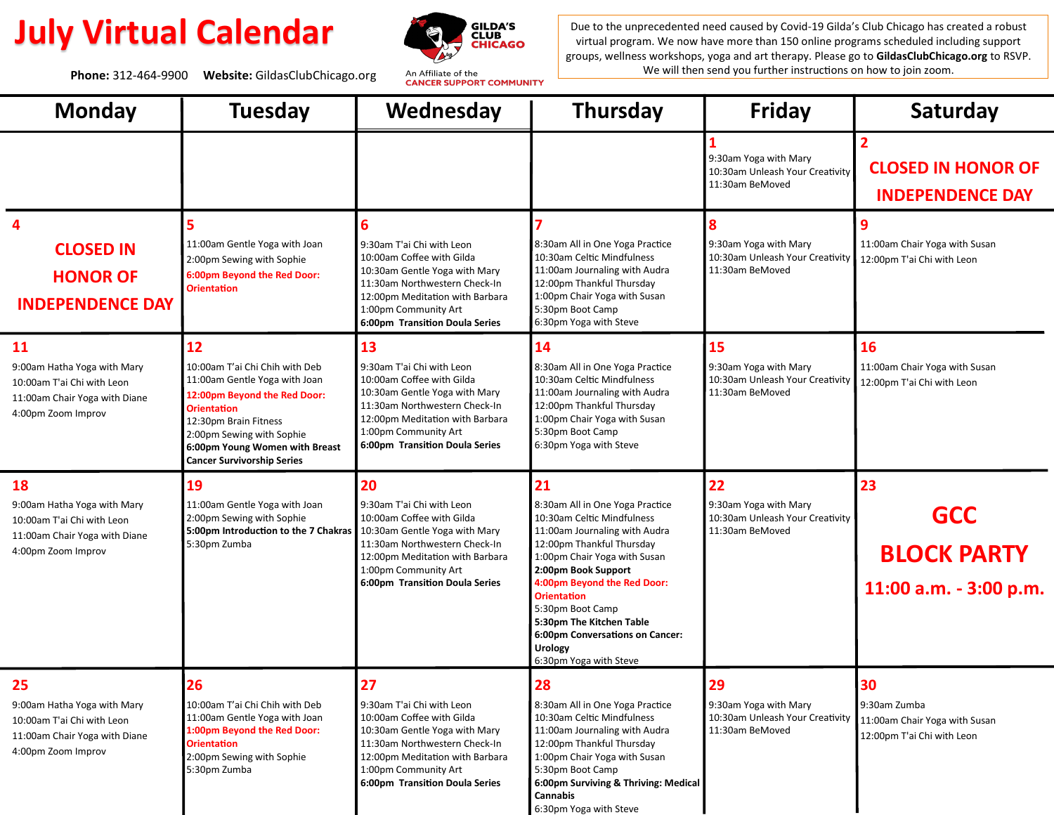Phone: 312-464-9900 Website: GildasClubChicago.org An Affiliate of the<br> **Phone: 312-464-9900 Website: GildasClubChicago.org** An Affiliate of the



**July Virtual Calendar** Due to the unprecedented need caused by Covid-19 Gilda's Club Chicago has created a robust virtual program. We now have more than 150 online programs scheduled including support virtual program. We now have more than 150 online programs scheduled including support groups, wellness workshops, yoga and art therapy. Please go to **GildasClubChicago.org** to RSVP.

| <b>Monday</b>                                                                                                                 | <b>Tuesday</b>                                                                                                                                                                                                                                           | Wednesday                                                                                                                                                                                                                   | <b>Thursday</b>                                                                                                                                                                                                                                                                                                                                                              | <b>Friday</b>                                                                     | Saturday                                                                          |
|-------------------------------------------------------------------------------------------------------------------------------|----------------------------------------------------------------------------------------------------------------------------------------------------------------------------------------------------------------------------------------------------------|-----------------------------------------------------------------------------------------------------------------------------------------------------------------------------------------------------------------------------|------------------------------------------------------------------------------------------------------------------------------------------------------------------------------------------------------------------------------------------------------------------------------------------------------------------------------------------------------------------------------|-----------------------------------------------------------------------------------|-----------------------------------------------------------------------------------|
|                                                                                                                               |                                                                                                                                                                                                                                                          |                                                                                                                                                                                                                             |                                                                                                                                                                                                                                                                                                                                                                              | 9:30am Yoga with Mary<br>10:30am Unleash Your Creativity<br>11:30am BeMoved       | $\overline{2}$<br><b>CLOSED IN HONOR OF</b><br><b>INDEPENDENCE DAY</b>            |
| <b>CLOSED IN</b><br><b>HONOR OF</b><br><b>INDEPENDENCE DAY</b>                                                                | 5<br>11:00am Gentle Yoga with Joan<br>2:00pm Sewing with Sophie<br>6:00pm Beyond the Red Door:<br><b>Orientation</b>                                                                                                                                     | 6<br>9:30am T'ai Chi with Leon<br>10:00am Coffee with Gilda<br>10:30am Gentle Yoga with Mary<br>11:30am Northwestern Check-In<br>12:00pm Meditation with Barbara<br>1:00pm Community Art<br>6:00pm Transition Doula Series  | 8:30am All in One Yoga Practice<br>10:30am Celtic Mindfulness<br>11:00am Journaling with Audra<br>12:00pm Thankful Thursday<br>1:00pm Chair Yoga with Susan<br>5:30pm Boot Camp<br>6:30pm Yoga with Steve                                                                                                                                                                    | 9:30am Yoga with Mary<br>10:30am Unleash Your Creativity<br>11:30am BeMoved       | 9<br>11:00am Chair Yoga with Susan<br>12:00pm T'ai Chi with Leon                  |
| 11<br>9:00am Hatha Yoga with Mary<br>10:00am T'ai Chi with Leon<br>11:00am Chair Yoga with Diane<br>4:00pm Zoom Improv        | 12<br>10:00am T'ai Chi Chih with Deb<br>11:00am Gentle Yoga with Joan<br>12:00pm Beyond the Red Door:<br><b>Orientation</b><br>12:30pm Brain Fitness<br>2:00pm Sewing with Sophie<br>6:00pm Young Women with Breast<br><b>Cancer Survivorship Series</b> | 13<br>9:30am T'ai Chi with Leon<br>10:00am Coffee with Gilda<br>10:30am Gentle Yoga with Mary<br>11:30am Northwestern Check-In<br>12:00pm Meditation with Barbara<br>1:00pm Community Art<br>6:00pm Transition Doula Series | 14<br>8:30am All in One Yoga Practice<br>10:30am Celtic Mindfulness<br>11:00am Journaling with Audra<br>12:00pm Thankful Thursday<br>1:00pm Chair Yoga with Susan<br>5:30pm Boot Camp<br>6:30pm Yoga with Steve                                                                                                                                                              | 15<br>9:30am Yoga with Mary<br>10:30am Unleash Your Creativity<br>11:30am BeMoved | 16<br>11:00am Chair Yoga with Susan<br>12:00pm T'ai Chi with Leon                 |
| <b>18</b><br>9:00am Hatha Yoga with Mary<br>10:00am T'ai Chi with Leon<br>11:00am Chair Yoga with Diane<br>4:00pm Zoom Improv | 19<br>11:00am Gentle Yoga with Joan<br>2:00pm Sewing with Sophie<br>5:00pm Introduction to the 7 Chakras   10:30am Gentle Yoga with Mary<br>5:30pm Zumba                                                                                                 | 20<br>9:30am T'ai Chi with Leon<br>10:00am Coffee with Gilda<br>11:30am Northwestern Check-In<br>12:00pm Meditation with Barbara<br>1:00pm Community Art<br>6:00pm Transition Doula Series                                  | 21<br>8:30am All in One Yoga Practice<br>10:30am Celtic Mindfulness<br>11:00am Journaling with Audra<br>12:00pm Thankful Thursday<br>1:00pm Chair Yoga with Susan<br>2:00pm Book Support<br>4:00pm Beyond the Red Door:<br><b>Orientation</b><br>5:30pm Boot Camp<br>5:30pm The Kitchen Table<br>6:00pm Conversations on Cancer:<br><b>Urology</b><br>6:30pm Yoga with Steve | 22<br>9:30am Yoga with Mary<br>10:30am Unleash Your Creativity<br>11:30am BeMoved | 23<br><b>GCC</b><br><b>BLOCK PARTY</b><br>11:00 a.m. - 3:00 p.m.                  |
| 25<br>9:00am Hatha Yoga with Mary<br>10:00am T'ai Chi with Leon<br>11:00am Chair Yoga with Diane<br>4:00pm Zoom Improv        | 26<br>10:00am T'ai Chi Chih with Deb<br>11:00am Gentle Yoga with Joan<br>1:00pm Beyond the Red Door:<br><b>Orientation</b><br>2:00pm Sewing with Sophie<br>5:30pm Zumba                                                                                  | 27<br>9:30am T'ai Chi with Leon<br>10:00am Coffee with Gilda<br>10:30am Gentle Yoga with Mary<br>11:30am Northwestern Check-In<br>12:00pm Meditation with Barbara<br>1:00pm Community Art<br>6:00pm Transition Doula Series | 28<br>8:30am All in One Yoga Practice<br>10:30am Celtic Mindfulness<br>11:00am Journaling with Audra<br>12:00pm Thankful Thursday<br>1:00pm Chair Yoga with Susan<br>5:30pm Boot Camp<br>6:00pm Surviving & Thriving: Medical<br>Cannabis<br>6:30pm Yoga with Steve                                                                                                          | 29<br>9:30am Yoga with Mary<br>10:30am Unleash Your Creativity<br>11:30am BeMoved | 30<br>9:30am Zumba<br>11:00am Chair Yoga with Susan<br>12:00pm T'ai Chi with Leon |